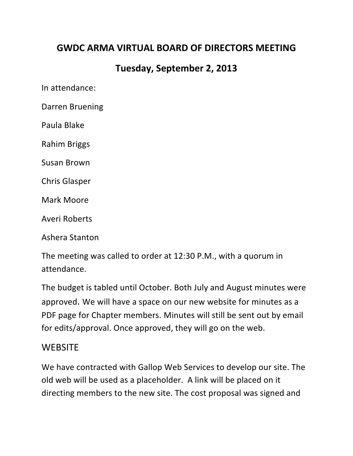## **GWDC ARMA VIRTUAL BOARD OF DIRECTORS MEETING**

## **Tuesday, September 2, 2013**

In attendance:

Darren Bruening

Paula Blake

Rahim Briggs

Susan Brown

Chris Glasper

Mark Moore

Averi Roberts

Ashera Stanton

The meeting was called to order at 12:30 P.M., with a quorum in attendance.

The budget is tabled until October. Both July and August minutes were approved. We will have a space on our new website for minutes as a PDF page for Chapter members. Minutes will still be sent out by email for edits/approval. Once approved, they will go on the web.

### **WEBSITE**

We have contracted with Gallop Web Services to develop our site. The old web will be used as a placeholder. A link will be placed on it directing members to the new site. The cost proposal was signed and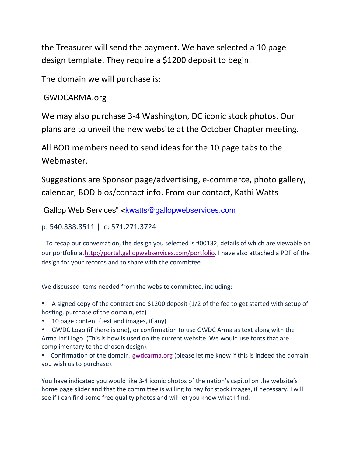the Treasurer will send the payment. We have selected a 10 page design template. They require a \$1200 deposit to begin.

The domain we will purchase is:

### GWDCARMA.org

We may also purchase 3-4 Washington, DC iconic stock photos. Our plans are to unveil the new website at the October Chapter meeting.

All BOD members need to send ideas for the 10 page tabs to the Webmaster.

Suggestions are Sponsor page/advertising, e-commerce, photo gallery, calendar, BOD bios/contact info. From our contact, Kathi Watts

Gallop Web Services" <kwatts@gallopwebservices.com

#### p: 540.338.8511 | c: 571.271.3724

To recap our conversation, the design you selected is #00132, details of which are viewable on our portfolio athttp://portal.gallopwebservices.com/portfolio. I have also attached a PDF of the design for your records and to share with the committee.

We discussed items needed from the website committee, including:

• A signed copy of the contract and \$1200 deposit  $(1/2)$  of the fee to get started with setup of hosting, purchase of the domain, etc)

• 10 page content (text and images, if any)

• GWDC Logo (if there is one), or confirmation to use GWDC Arma as text along with the Arma Int'l logo. (This is how is used on the current website. We would use fonts that are complimentary to the chosen design).

• Confirmation of the domain, gwdcarma.org (please let me know if this is indeed the domain you wish us to purchase).

You have indicated you would like 3-4 iconic photos of the nation's capitol on the website's home page slider and that the committee is willing to pay for stock images, if necessary. I will see if I can find some free quality photos and will let you know what I find.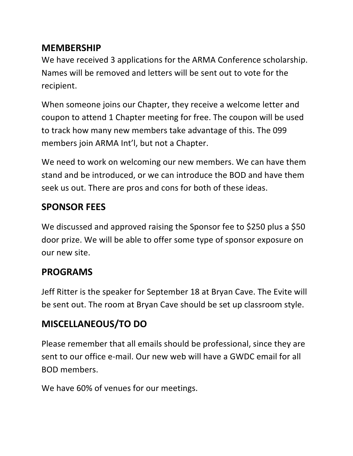## **MEMBERSHIP**

We have received 3 applications for the ARMA Conference scholarship. Names will be removed and letters will be sent out to vote for the recipient.

When someone joins our Chapter, they receive a welcome letter and coupon to attend 1 Chapter meeting for free. The coupon will be used to track how many new members take advantage of this. The 099 members join ARMA Int'l, but not a Chapter.

We need to work on welcoming our new members. We can have them stand and be introduced, or we can introduce the BOD and have them seek us out. There are pros and cons for both of these ideas.

# **SPONSOR FEES**

We discussed and approved raising the Sponsor fee to \$250 plus a \$50 door prize. We will be able to offer some type of sponsor exposure on our new site.

# **PROGRAMS**

Jeff Ritter is the speaker for September 18 at Bryan Cave. The Evite will be sent out. The room at Bryan Cave should be set up classroom style.

# **MISCELLANEOUS/TO DO**

Please remember that all emails should be professional, since they are sent to our office e-mail. Our new web will have a GWDC email for all BOD members. 

We have 60% of venues for our meetings.